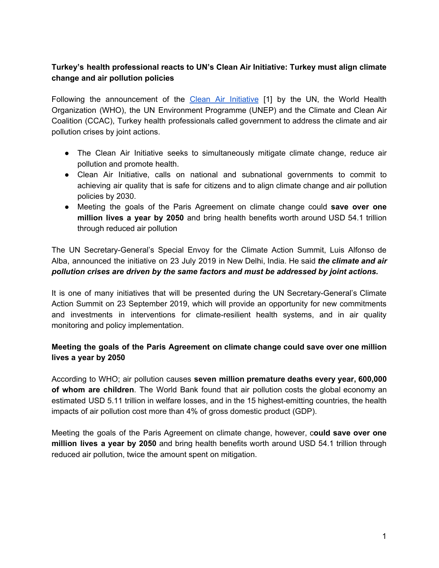## **Turkey's health professional reacts to UN's Clean Air Initiative: Turkey must align climate change and air pollution policies**

Following the announcement of the Clean Air [Initiative](https://sdg.iisd.org/news/clean-air-initiative-announced-ahead-of-un-climate-action-summit/) [1] by the UN, the World Health Organization (WHO), the UN Environment Programme (UNEP) and the Climate and Clean Air Coalition (CCAC), Turkey health professionals called government to address the climate and air pollution crises by joint actions.

- The Clean Air Initiative seeks to simultaneously mitigate climate change, reduce air pollution and promote health.
- Clean Air Initiative, calls on national and subnational governments to commit to achieving air quality that is safe for citizens and to align climate change and air pollution policies by 2030.
- Meeting the goals of the Paris Agreement on climate change could **save over one million lives a year by 2050** and bring health benefits worth around USD 54.1 trillion through reduced air pollution

The UN Secretary-General's Special Envoy for the Climate Action Summit, Luis Alfonso de Alba, announced the initiative on 23 July 2019 in New Delhi, India. He said *the climate and air pollution crises are driven by the same factors and must be addressed by joint actions.*

It is one of many initiatives that will be presented during the UN Secretary-General's Climate Action Summit on 23 September 2019, which will provide an opportunity for new commitments and investments in interventions for climate-resilient health systems, and in air quality monitoring and policy implementation.

## **Meeting the goals of the Paris Agreement on climate change could save over one million lives a year by 2050**

According to WHO; air pollution causes **seven million premature deaths every year, 600,000 of whom are children**. The World Bank found that air pollution costs the global economy an estimated USD 5.11 trillion in welfare losses, and in the 15 highest-emitting countries, the health impacts of air pollution cost more than 4% of gross domestic product (GDP).

Meeting the goals of the Paris Agreement on climate change, however, c**ould save over one million lives a year by 2050** and bring health benefits worth around USD 54.1 trillion through reduced air pollution, twice the amount spent on mitigation.